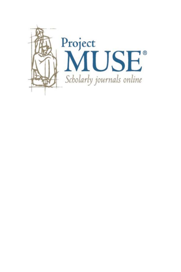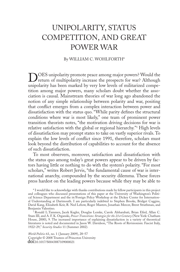# Unipolarity, Status Competition, and Great Power WAr

# By William C. Wohlforth\*

DOES unipolarity promote peace among major powers? Would the return of multipolarity increase the prospects for war? Although unipolarity has been marked by very low levels of militarized competition among major powers, many scholars doubt whether the association is causal. Mainstream theories of war long ago abandoned the notion of any simple relationship between polarity and war, positing that conflict emerges from a complex interaction between power and dissatisfaction with the status quo. "While parity defines the structural conditions where war is most likely," one team of prominent power transition theorists notes, "the motivation driving decisions for war is relative satisfaction with the global or regional hierarchy."1 High levels of dissatisfaction may prompt states to take on vastly superior rivals. To explain the low levels of conflict since 1991, therefore, scholars must look beyond the distribution of capabilities to account for the absence of such dissatisfaction.

To most observers, moreover, satisfaction and dissatisfaction with the status quo among today's great powers appear to be driven by factors having little or nothing to do with the system's polarity. "For most scholars," writes Robert Jervis, "the fundamental cause of war is international anarchy, compounded by the security dilemma. These forces press hardest on the leading powers because while they may be able to

1 Ronald L.Tammen, Jacek Kugler, Douglas Lemke, Carole Alsharabati, Brian Efird, Allan C. Stam III, and A. F. K. Organski, *Power Transitions: Strategies for the 21st Century* (New York: Chatham House, 2000), 9. The increased importance of explaining dissatisfaction in a variety of theoretical literatures is noted and documented in Jason W. Davidson, "The Roots of Revisionism: Fascist Italy, 1922–29," *Security Studies* 11 (Summer 2002).

*World Politics* 61, no. 1 ( January 2009), 28–57 Copyright © 2008 Trustees of Princeton University doi:10.1017/S0043887109000021

<sup>\*</sup> I would like to acknowledge with thanks contributions made by fellow participants in this project and colleagues who discussed presentations of this paper at the University of Washington's Political Science Department and the ir/Foreign Policy Workshop at the Dickey Center for International Understanding at Dartmouth. I am particularly indebted to Stephen Brooks, Bridget Coggins, David Kang, Elizabeth Keir, R. Ned Lebow, Roger Masters, Jonathan Mercer, Brent Strathman, and Benjamin Valentino.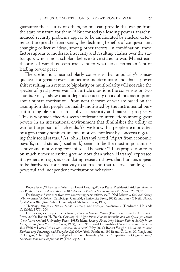guarantee the security of others, no one can provide this escape from the state of nature for them."2 But for today's leading powers anarchyinduced security problems appear to be ameliorated by nuclear deterrence, the spread of democracy, the declining benefits of conquest, and changing collective ideas, among other factors. In combination, these factors appear to moderate insecurity and resulting clashes over the status quo, which most scholars believe drive states to war. Mainstream theories of war thus seem irrelevant to what Jervis terms an "era of leading power peace."

The upshot is a near scholarly consensus that unpolarity's consequences for great power conflict are indeterminate and that a power shift resulting in a return to bipolarity or multipolarity will not raise the specter of great power war. This article questions the consensus on two counts. First, I show that it depends crucially on a dubious assumption about human motivation. Prominent theories of war are based on the assumption that people are mainly motivated by the instrumental pursuit of tangible ends such as physical security and material prosperity. This is why such theories seem irrelevant to interactions among great powers in an international environment that diminishes the utility of war for the pursuit of such ends. Yet we know that people are motivated by a great many noninstrumental motives, not least by concerns regarding their social status. 3 As John Harsanyi noted, "Apart from economic payoffs, social status (social rank) seems to be the most important incentive and motivating force of social behavior."4 This proposition rests on much firmer scientific ground now than when Harsanyi expressed it a generation ago, as cumulating research shows that humans appear to be hardwired for sensitivity to status and that relative standing is a powerful and independent motivator of behavior.<sup>5</sup>

<sup>2</sup> Robert Jervis, "Theories of War in an Era of Leading-Power Peace: Presidential Address, American Political Science Association, 2001," *American Political Science Review* 91 (March 2002), 11.

<sup>3</sup> For theory and evidence from two contrasting perspectives, see R. Ned Lebow, *A Cultural Theory of International Relations* (Cambridge: Cambridge University Press, 2008); and Barry O'Neill, *Honor, Symbols and War* (Ann Arbor: University of Michigan Press, 1999).

<sup>4</sup> Harsanyi, *Essays on Ethics, Social Behavior, and Scientific Explanation* (Dordrecht, Holland: D. Reidel, 1976), 204.

<sup>5</sup> For reviews, see Stephen Peter Rosen, *War and Human Nature* (Princeton: Princeton University Press, 2005); Robert H. Frank, *Choosing the Right Pond: Human Behavior and the Quest for Status* (New York: Oxford University Press, 1985); idem, *Luxury Fever: Why Money Fails to Satisfy in an Era of Excess* (New York: Free Press, 1999); idem, "Positional Externalities Cause Large and Preventable Welfare Losses," *American Economic Review* 95 (May 2005); Robert Wright, *The Moral Animal: Evolutionary Psychology and Everyday Life* (New York: Pantheon, 1994); and C. Loch, M. Yaziji, and C. Langen, "The Fight for the Alpha Position: Channeling Status Competition in Organizations," *European Management Journal* 19 (February 2001).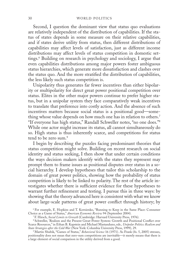Second, I question the dominant view that status quo evaluations are relatively independent of the distribution of capabilities. If the status of states depends in some measure on their relative capabilities, and if states derive utility from status, then different distributions of capabilities may affect levels of satisfaction, just as different income distributions may affect levels of status competition in domestic settings.<sup>6</sup> Building on research in psychology and sociology, I argue that even capabilities distributions among major powers foster ambiguous status hierarchies, which generate more dissatisfaction and clashes over the status quo. And the more stratified the distribution of capabilities, the less likely such status competition is.

Unipolarity thus generates far fewer incentives than either bipolarity or multipolarity for direct great power positional competition over status. Elites in the other major powers continue to prefer higher status, but in a unipolar system they face comparatively weak incentives to translate that preference into costly action. And the absence of such incentives matters because social status is a positional good—something whose value depends on how much one has in relation to others.<sup>7</sup> "If everyone has high status," Randall Schweller notes, "no one does."8 While one actor might increase its status, all cannot simultaneously do so. High status is thus inherently scarce, and competitions for status tend to be zero sum.<sup>9</sup>

I begin by describing the puzzles facing predominant theories that status competition might solve. Building on recent research on social identity and status seeking, I then show that under certain conditions the ways decision makers identify with the states they represent may prompt them to frame issues as positional disputes over status in a social hierarchy. I develop hypotheses that tailor this scholarship to the domain of great power politics, showing how the probability of status competition is likely to be linked to polarity. The rest of the article investigates whether there is sufficient evidence for these hypotheses to warrant further refinement and testing. I pursue this in three ways: by showing that the theory advanced here is consistent with what we know about large-scale patterns of great power conflict through history; by

<sup>6</sup> For example, E. Hopkins and T. Kornienko, "Running to Keep in the Same Place: Consumer Choice as a Game of Status," *American Economic Review* 94 (September 2004).

<sup>7</sup> F. Hirsch, *Social Limits to Growth* (Cambridge: Harvard University Press, 1976).

<sup>8</sup> Schweller, " Realism and the Present Great-Power System: Growth and Positional Conflict over Scarce Resources," in Ethan B. Kapstein and Michael Mastanduno, eds*., Unipolar Politics: Realism and State Strategies after the Cold War* (New York: Columbia University Press, 1999)*,* 29.

<sup>&</sup>lt;sup>9</sup> Martin Shubik, "Games of Status," *Behavioral Science* 16 (1971). As Frank (fn. 5, 2005) stresses, positionality does not mean that zero-sum competitions are inevitable—it merely means that there is a large element of social comparison in the utility derived from a good.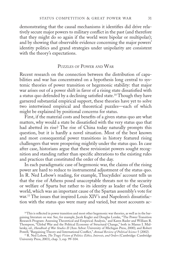demonstrating that the causal mechanisms it identifies did drive relatively secure major powers to military conflict in the past (and therefore that they might do so again if the world were bipolar or multipolar); and by showing that observable evidence concerning the major powers' identity politics and grand strategies under unipolarity are consistent with the theory's expectations.

## Puzzles of Power and War

Recent research on the connection between the distribution of capabilities and war has concentrated on a hypothesis long central to systemic theories of power transition or hegemonic stability: that major war arises out of a power shift in favor of a rising state dissatisfied with a status quo defended by a declining satisfied state.10 Though they have garnered substantial empirical support, these theories have yet to solve two intertwined empirical and theoretical puzzles—each of which might be explained by positional concerns for status.

First, if the material costs and benefits of a given status quo are what matters, why would a state be dissatisfied with the very status quo that had abetted its rise? The rise of China today naturally prompts this question, but it is hardly a novel situation. Most of the best known and most consequential power transitions in history featured rising challengers that were prospering mightily under the status quo. In case after case, historians argue that these revisionist powers sought recognition and standing rather than specific alterations to the existing rules and practices that constituted the order of the day.

In each paradigmatic case of hegemonic war, the claims of the rising power are hard to reduce to instrumental adjustment of the status quo. In R. Ned Lebow's reading, for example, Thucydides' account tells us that the rise of Athens posed unacceptable threats not to the security or welfare of Sparta but rather to its identity as leader of the Greek world, which was an important cause of the Spartan assembly's vote for war.<sup>11</sup> The issues that inspired Louis XIV's and Napoleon's dissatisfaction with the status quo were many and varied, but most accounts ac-

<sup>&</sup>lt;sup>10</sup>This is reflected in power transition and most other hegemonic war theories, as well as in the bargaining literature on war. See, for example, Jacek Kugler and Douglas Lemke, "The Power Transition Research Program: Assessing Theoretical and Empirical Analysis," and Karen Rasler and William R. Thompson, "Global War and the Political Economy of Structural Change," both in Manus I. Midlarsky, ed., *Handbook of War Studies II* (Ann Arbor: University of Michigan Press, 2000); and Robert Powell, "Bargaining Theory and International Conflict," *Annual Review of Political Science* 5 (2002).

<sup>&</sup>lt;sup>11</sup> R. Ned Lebow, *The Tragic Vision of Politics: Ethics, Interests, and Orders* (Cambridge: Cambridge University Press, 2003), chap. 3, esp. 99–104.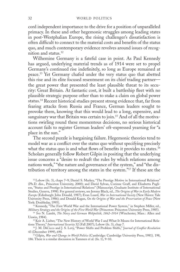cord independent importance to the drive for a position of unparalleled primacy. In these and other hegemonic struggles among leading states in post-Westphalian Europe, the rising challenger's dissatisfaction is often difficult to connect to the material costs and benefits of the status quo, and much contemporary evidence revolves around issues of recognition and status.<sup>12</sup>

Wilhemine Germany is a fateful case in point. As Paul Kennedy has argued, underlying material trends as of 1914 were set to propel Germany's continued rise indefinitely, so long as Europe remained at peace.13 Yet Germany chafed under the very status quo that abetted this rise and its elite focused resentment on its chief trading partner the great power that presented the least plausible threat to its security: Great Britain. At fantastic cost, it built a battleship fleet with no plausible strategic purpose other than to stake a claim on global power status.14 Recent historical studies present strong evidence that, far from fearing attacks from Russia and France, German leaders sought to provoke them, knowing that this would lead to a long, expensive, and sanguinary war that Britain was certain to join.<sup>15</sup> And of all the motivations swirling round these momentous decisions, no serious historical account fails to register German leaders' oft-expressed yearning for "a place in the sun."

The second puzzle is bargaining failure. Hegemonic theories tend to model war as a conflict over the status quo without specifying precisely what the status quo is and what flows of benefits it provides to states.<sup>16</sup> Scholars generally follow Robert Gilpin in positing that the underlying issue concerns a "desire to redraft the rules by which relations among nations work," "the nature and governance of the system," and "the distribution of territory among the states in the system."17 If these are the

12 Lebow (fn. 3), chaps 7–9; Daniel S. Markey, "The Prestige Motive in International Relations" (Ph.D. diss., Princeton University, 2000); and David Sylvan, Corinne Graff, and Elisabetta Pugliese, "Status and Prestige in International Relations" (Manuscript, Graduate Institute of International Studies, Geneva, 1998). For general reviews, see Jeremy Black, ed., *The Origins of War in Early Modern Europe* (Edinburgh: John Donald, 1987); Evan Luard, *War in International Society* (New Haven: Yale University Press, 1986); and Donald Kagan, *On the Origins of War and the Preservation of Peace* (New York: Doubleday, 1995).

<sup>13</sup> Kennedy, "The First World War and the International Power System," in Stephen Miller, ed., *Military Strategy and the Origins of the First World War* (Princeton: Princeton University Press, 1985).

14 Ivo N. Lambi, *The Navy and German Weltpolitik, 1862–1914* (Winchester, Mass.: Allen and Unwin, 1984).

<sup>15</sup> Keir A. Lieber, "The New History of World War I and What It Means for International Relations Theory," *International Security* 32 (Fall 2007); Lebow (fn. 3), chap 7.

16 J. M. DiCicco and J. S. Levy, "Power Shifts and Problem Shifts," J*ournal of Conflict Resolution*  43 (December 1999), 690.

17 Gilpin, *War and Change in World Politics* (Cambridge: Cambridge University Press, 1981)*,* 198, 186. There is a similar discussion in Tammen et al. (fn. 1), 9–10.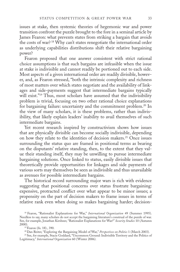issues at stake, then systemic theories of hegemonic war and power transition confront the puzzle brought to the fore in a seminal article by James Fearon: what prevents states from striking a bargain that avoids the costs of war? 18 Why can't states renegotiate the international order as underlying capabilities distributions shift their relative bargaining power?

Fearon proposed that one answer consistent with strict rational choice assumptions is that such bargains are infeasible when the issue at stake is indivisible and cannot readily be portioned out to each side. Most aspects of a given international order are readily divisible, however, and, as Fearon stressed, "both the intrinsic complexity and richness of most matters over which states negotiate and the availability of linkages and side-payments suggest that intermediate bargains typically will exist."<sup>19</sup> Thus, most scholars have assumed that the indivisibility problem is trivial, focusing on two other rational choice explanations for bargaining failure: uncertainty and the commitment problem.<sup>20</sup> In the view of many scholars, it is these problems, rather than indivisibility, that likely explain leaders' inability to avail themselves of such intermediate bargains.

Yet recent research inspired by constructivism shows how issues that are physically divisible can become socially indivisible, depending on how they relate to the identities of decision makers.<sup>21</sup> Once issues surrounding the status quo are framed in positional terms as bearing on the disputants' relative standing, then, to the extent that they value their standing itself, they may be unwilling to pursue intermediate bargaining solutions. Once linked to status, easily divisible issues that theoretically provide opportunities for linkages and side payments of various sorts may themselves be seen as indivisible and thus unavailable as avenues for possible intermediate bargains.

The historical record surrounding major wars is rich with evidence suggesting that positional concerns over status frustrate bargaining: expensive, protracted conflict over what appear to be minor issues; a propensity on the part of decision makers to frame issues in terms of relative rank even when doing so makes bargaining harder; decision-

<sup>18</sup> Fearon, "Rationalist Explanations for War," International Organization 49 (Summer 1995). Needless to say, many scholars do not accept the bargaining literature's construal of the puzzle of war. See, for example, Jonathan Kirshner, "Rationalist Explanations for War?" *Security Studies* 10 (Autumn 2000).

19 Fearon (fn. 18)*.,* 390.

20 Dan Reiter, "Exploring the Bargaining Model of War," *Perspectives on Politics* 1 (March 2003).

21 See, for example, Stacie Goddard, "Uncommon Ground: Indivisible Territory and the Politics of Legitimacy," *International Organization* 60 (Winter 2006).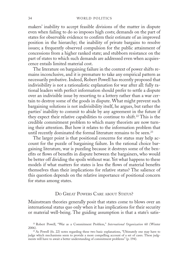#### 34 WORLD POLITICS

makers' inability to accept feasible divisions of the matter in dispute even when failing to do so imposes high costs; demands on the part of states for observable evidence to confirm their estimate of an improved position in the hierarchy; the inability of private bargains to resolve issues; a frequently observed compulsion for the public attainment of concessions from a higher ranked state; and stubborn resistance on the part of states to which such demands are addressed even when acquiescence entails limited material cost.

The literature on bargaining failure in the context of power shifts remains inconclusive, and it is premature to take any empirical pattern as necessarily probative. Indeed, Robert Powell has recently proposed that indivisibility is not a rationalistic explanation for war after all: fully rational leaders with perfect information should prefer to settle a dispute over an indivisible issue by resorting to a lottery rather than a war certain to destroy some of the goods in dispute. What might prevent such bargaining solutions is not indivisibility itself, he argues, but rather the parties' inability to commit to abide by any agreement in the future if they expect their relative capabilities to continue to shift.<sup>22</sup> This is the credible commitment problem to which many theorists are now turning their attention. But how it relates to the information problem that until recently dominated the formal literature remains to be seen.<sup>23</sup>

The larger point is that positional concerns for status may help account for the puzzle of bargaining failure. In the rational choice bargaining literature, war is puzzling because it destroys some of the benefits or flows of benefits in dispute between the bargainers, who would be better off dividing the spoils without war. Yet what happens to these models if what matters for states is less the flows of material benefits themselves than their implications for relative status? The salience of this question depends on the relative importance of positional concern for status among states.

# DO GREAT POWERS CARE ABOUT STATUS?

Mainstream theories generally posit that states come to blows over an international status quo only when it has implications for their security or material well-being. The guiding assumption is that a state's satis-

<sup>22</sup> Robert Powell, "War as a Commitment Problem," *International Organization* 60 (Winter 2006).

<sup>&</sup>lt;sup>23</sup> As Powell (fn. 22) notes regarding these two basic explanations, "Ultimately one may have to judge which mechanisms seem to provide a more compelling account of a set of cases. These judgments will have to await a better understanding of commitment problems" (p. 194).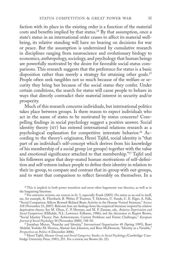faction with its place in the existing order is a function of the material costs and benefits implied by that status.<sup>24</sup> By that assumption, once a state's status in an international order ceases to affect its material wellbeing, its relative standing will have no bearing on decisions for war or peace. But the assumption is undermined by cumulative research in disciplines ranging from neuroscience and evolutionary biology to economics, anthropology, sociology, and psychology that human beings are powerfully motivated by the desire for favorable social status comparisons. This research suggests that the preference for status is a basic disposition rather than merely a strategy for attaining other goals.<sup>25</sup> People often seek tangibles not so much because of the welfare or security they bring but because of the social status they confer. Under certain conditions, the search for status will cause people to behave in ways that directly contradict their material interest in security and/or prosperity.

Much of this research concerns individuals, but international politics takes place between groups. Is there reason to expect individuals who act in the name of states to be motivated by status concerns? Compelling findings in social psychology suggest a positive answer. Social identity theory (SIT) has entered international relations research as a psychological explanation for competitive interstate behavior.<sup>26</sup> According to the theory's originator, Henri Tajfel, social identity is "that part of an individual's self-concept which derives from his knowledge of his membership of a social group (or groups) together with the value and emotional significance attached to that membership."27 Tajfel and his followers argue that deep-seated human motivations of self-definition and self-esteem induce people to define their identity in relation to their in-group, to compare and contrast that in-group with out-groups, and to want that comparison to reflect favorably on themselves. In a

<sup>24</sup> This is implicit in both power transition and most other hegemonic war theories, as well as in the bargaining literature.

<sup>25</sup> For extensive reviews, see sources in fn. 5, especially Frank (2005). On status as an end in itself, see, for example, K. Fliessbach, B. Weber, P. Trautner, T. Dohmen, U. Sunde, C. E. Elger, A. Falk, "Social Comparison Affects Reward-Related Brain Activity in the Human Ventral Striatum," *Science* 318 (November 23, 2007). Relevant here are findings from the empirical literature inspired by relative deprivation theory. See M. Olson, C. P. Herman, and M. P. Zannan, eds., *Relative Deprivation and Social Comparison* (Hillsdale, N.J.: Lawrence Erlbaum, 1986); and the discussion in Rupert Brown, "Social Identity Theory: Past Achievements, Current Problems and Future Challenges," *European Journal of Social Psychology* 30 (November 2000), 748–50.

26 Jonathan Mercer, "Anarchy and Identity," *International Organization* 49 (Spring 1995); Rawi Abdelal, Yoshiko M. Herrera, Alastair Iain Johnston, and Rose McDermott, "Identity as a Variable," *Perspectives on Politics* 4 (December 2006).

27 Henri Tajfel, *Human Group and Social Categories: Studies in Social Psychology* (Cambridge: Cambridge University Press, 1981), 251. For a review, see Brown (fn. 25).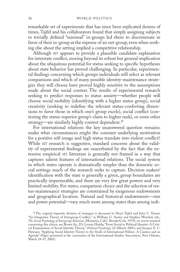remarkable set of experiments that has since been replicated dozens of times, Tajfel and his collaborators found that simply assigning subjects to trivially defined "minimal" in-groups led them to discriminate in favor of their in-group at the expense of an out-group, even when nothing else about the setting implied a competitive relationship.

Although sit appears to provide a plausible candidate explanation for interstate conflict, moving beyond its robust but general implication about the ubiquitous potential for status seeking to specific hypotheses about state behavior has proved challenging. In particular, experimental findings concerning which groups individuals will select as relevant comparisons and which of many possible identity-maintenance strategies they will choose have proved highly sensitive to the assumptions made about the social context. The results of experimental research seeking to predict responses to status anxiety—whether people will choose social mobility (identifying with a higher status group), social creativity (seeking to redefine the relevant status-conferring dimensions to favor those in which one's group excels), social conflict (contesting the status-superior group's claim to higher rank), or some other strategy—are similarly highly context dependent.<sup>28</sup>

For international relations the key unanswered question remains: under what circumstances might the constant underlying motivation for a positive self-image and high status translate into violent conflict? While sit research is suggestive, standard concerns about the validity of experimental findings are exacerbated by the fact that the extensive empirical sit literature is generally not framed in a way that captures salient features of international relations. The social system in which states operate is dramatically simpler than the domestic social settings much of the research seeks to capture. Decision makers' identification with the state is generally a given, group boundaries are practically impermeable, and there are very few great powers and very limited mobility. For states, comparison choice and the selection of status-maintenance strategies are constrained by exogenous endowments and geographical location. Natural and historical endowments—size and power potential—vary much more among states than among indi-

<sup>&</sup>lt;sup>28</sup> The original tripartite division of strategies is discussed in Henri Tajfel and John C. Turner, "An Integrative Theory of Intergroup Conflict," in William G. Austin and Stephen Worchel, eds., *The Social Psychology of Intergroup Relations* (Monterey, Calif.: Brooks/Cole, 1979); on recent research concerning this choice, see Brown (fn. 25); Leonie Huddy, "From Social to Political Identity: A Critical Examination of Social Identity Theory," *Political Psychology* 22 (March 2001); and Jacques E. C. Hymans, "Applying Social Identity Theory to the Study of International Politics: A Caution and an Agenda" (Paper presented at the convention of the International Studies Association, New Orleans, March 24–27, 2002).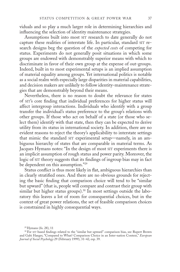viduals and so play a much larger role in determining hierarchies and influencing the selection of identity maintenance strategies.

Assumptions built into most sit research to date generally do not capture these realities of interstate life. In particular, standard SIT research designs beg the question of the *expected costs* of competing for status. Experiments do not generally posit situations in which some groups are endowed with demonstrably superior means with which to discriminate in favor of their own group at the expense of out-groups. Indeed, built in to most experimental setups is an implied assumption of material equality among groups. Yet international politics is notable as a social realm with especially large disparities in material capabilities, and decision makers are unlikely to follow identity-maintenance strategies that are demonstrably beyond their means.

Nevertheless, there is no reason to doubt the relevance for states of sit's core finding that individual preferences for higher status will affect intergroup interactions. Individuals who identify with a group transfer the individual's status preference to the group's relations with other groups. If those who act on behalf of a state (or those who select them) identify with that state, then they can be expected to derive utility from its status in international society. In addition, there are no evident reasons to reject the theory's applicability to interstate settings that mimic the standard SIT experimental setup—namely, in an ambiguous hierarchy of states that are comparable in material terms. As Jacques Hymans notes: "In the design of most SIT experiments there is an implicit assumption of rough status and power parity. Moreover, the logic of sit theory suggests that its findings of ingroup bias may in fact be dependent on this assumption."<sup>29</sup>

Status conflict is thus more likely in flat, ambiguous hierarchies than in clearly stratified ones. And there are no obvious grounds for rejecting the basic finding that comparison choice will tend to be "similar but upward" (that is, people will compare and contrast their group with similar but higher status groups).<sup>30</sup> In most settings outside the laboratory this leaves a lot of room for consequential choices, but in the context of great power relations, the set of feasible comparison choices is constrained in highly consequential ways.

<sup>29</sup> Hymans (fn. 28), 11

<sup>&</sup>lt;sup>30</sup> For sIT-based findings related to the "similar but upward" comparison bias, see Rupert Brown and Gabi Haeger, "Compared to What? Comparison Choice in an Inter-nation Context," *European Journal of Social Psychology* 29 (February 1999), 31–42, esp. 39.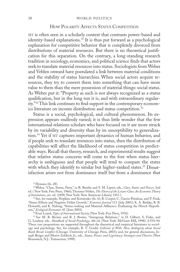#### 38 world politics

## HOW POLARITY AFFECTS STATUS COMPETITION

sit is often seen in a scholarly context that contrasts power-based and identity-based explanations.<sup>31</sup> It is thus put forward as a psychological explanation for competitive behavior that is completely divorced from distributions of material resources. But there is no theoretical justification for this separation. On the contrary, a long-standing research tradition in sociology, economics, and political science finds that actors seek to translate material resources into status. Sociologists from Weber and Veblen onward have postulated a link between material conditions and the stability of status hierarchies.When social actors acquire resources, they try to convert them into something that can have more value to them than the mere possession of material things: social status. As Weber put it: "Property as such is not always recognized as a status qualification, but in the long run it is, and with extraordinary regularity."32 This link continues to find support in the contemporary economics literature on income distribution and status competition.<sup>33</sup>

Status is a social, psychological, and cultural phenomenon. Its expression appears endlessly varied; it is thus little wonder that the few international relations scholars who have focused on it are more struck by its variability and diversity than by its susceptibility to generalization.<sup>34</sup> Yet if sit captures important dynamics of human behavior, and if people seek to translate resources into status, then the distribution of capabilities will affect the likelihood of status competition in predictable ways. Recall that theory, research, and experimental results suggest that relative status concerns will come to the fore when status hierarchy is ambiguous and that people will tend to compare the states with which they identify to similar but higher-ranked states.<sup>35</sup> Dissatisfaction arises not from dominance itself but from a dominance that

31 Hymans (fn. 28).

32 Weber, "Class, Status, Party," in R. Bendix and S. M. Lipset, eds., *Class, Status and Power*, 2nd ed. ( New York: Free Press, 1966); Thorsten Veblen, *The Theory of the Leisure Class: An Economic Theory of Institutions*, rev. ed. (1899; New York: New American Library, 1953 ).

33 See, for example, Hopkins and Kornienko (fn. 6); B. Cooper, C. García-Peñalosa, and P. Funk, "Status Effects and Negative Utility Growth," *Economic Journal* 111 ( July 2001); K. A. Brekke, R. B. Howarth, and K. Nyborg, "Status-seeking and Material Affluence: Evaluating the Hirsch Hypothesis," *Ecological Economics* 45 ( June 2003).

34 Evan Luard, *Types of International Society* (New York: Free Press, 1976).

35 See M. B. Brewer and R. J. Brown, "Intergroup Relations," in D. Gilbert, S. Fiske, and G. Lindzey, eds., *Handbook of Social Psychology*, 4th ed. (New York: McGraw-Hill, 1998), 2:554–94. These core propositions are supported throughout the theoretical and empirical literatures in sociology and psychology. See, for example, R. V. Gould, *Collision of Wills: How Ambiguity about Social Rank Breeds Conflict* (Chicago: University of Chicago Press, 2003); and, for general discussions, Joseph Berger and Morris Zelditch, Jr., eds., *Status, Power, and Legitimacy: Strategies and Theories* (New Brunswick, N.J.: Transaction, 1998).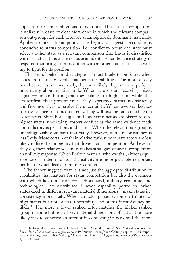appears to rest on ambiguous foundations. Thus, status competition is unlikely in cases of clear hierarchies in which the relevant comparison out-groups for each actor are unambiguously dominant materially. Applied to international politics, this begins to suggest the conditions conducive to status competition. For conflict to occur, one state must select another state as a relevant comparison that leaves it dissatisfied with its status; it must then choose an identity-maintenance strategy in response that brings it into conflict with another state that is also willing to fight for its position.

This set of beliefs and strategies is most likely to be found when states are relatively evenly matched in capabilities. The more closely matched actors are materially, the more likely they are to experience uncertainty about relative rank. When actors start receiving mixed signals—some indicating that they belong in a higher rank while others reaffirm their present rank—they experience status inconsistency and face incentives to resolve the uncertainty. When lower-ranked actors experience such inconsistency, they will use higher-ranked actors as referents. Since both high- and low-status actors are biased toward higher status, uncertainty fosters conflict as the same evidence feeds contradictory expectations and claims.When the relevant out-group is unambiguously dominant materially, however, status inconsistency is less likely. More certain of their relative rank, subordinate actors are less likely to face the ambiguity that drives status competition. And even if they do, their relative weakness makes strategies of social competition an unlikely response. Given limited material wherewithal, either acquiescence or strategies of social creativity are more plausible responses, neither of which leads to military conflict.

The theory suggests that it is not just the aggregate distribution of capabilities that matters for status competition but also the evenness with which key dimensions— such as naval, military, economic, and technological—are distributed. Uneven capability portfolios—when states excel in different relevant material dimensions—make status inconsistency more likely. When an actor possesses some attributes of high status but not others, uncertainty and status inconsistency are likely.36 The more a lower-ranked actor matches the higher-ranked group in some but not all key material dimensions of status, the more likely it is to conceive an interest in contesting its rank and the more

<sup>36</sup> The basic idea comes from G. E. Lenski, "Status Crystallization: A Non-Vertical Dimension of Social Status," *American Sociological Review* 19 (August 1954). Johan Galtung applied it to interpersonal and intergroup conflict; Galtung, "A Structural Theory of Aggression," *Journal of Peace Research* 1, no. 2 (1964).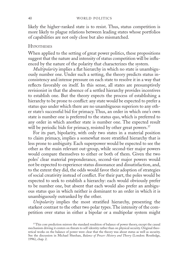likely the higher-ranked state is to resist. Thus, status competition is more likely to plague relations between leading states whose portfolios of capabilities are not only close but also mismatched.

# **HYPOTHESES**

When applied to the setting of great power politics, these propositions suggest that the nature and intensity of status competition will be influenced by the nature of the polarity that characterizes the system.

*Multipolarity* implies a flat hierarchy in which no state is unambiguously number one. Under such a setting, the theory predicts status inconsistency and intense pressure on each state to resolve it in a way that reflects favorably on itself. In this sense, all states are presumptively revisionist in that the absence of a settled hierarchy provides incentives to establish one. But the theory expects the process of establishing a hierarchy to be prone to conflict: any state would be expected to prefer a status quo under which there are no unambiguous superiors to any other state's successful bid for primacy. Thus, an order in which one's own state is number one is preferred to the status quo, which is preferred to any order in which another state is number one. The expected result will be periodic bids for primacy, resisted by other great powers.<sup>37</sup>

For its part, bipolarity, with only two states in a material position to claim primacy, implies a somewhat more stratified hierarchy that is less prone to ambiguity. Each superpower would be expected to see the other as the main relevant out-group, while second-tier major powers would compare themselves to either or both of them. Given the two poles' clear material preponderance, second-tier major powers would not be expected to experience status dissonance and dissatisfaction, and, to the extent they did, the odds would favor their adoption of strategies of social creativity instead of conflict. For their part, the poles would be expected to seek to establish a hierarchy: each would obviously prefer to be number one, but absent that each would also prefer an ambiguous status quo in which neither is dominant to an order in which it is unambiguously outranked by the other.

*Unipolarity* implies the most stratified hierarchy, presenting the starkest contrast to the other two polar types. The intensity of the competition over status in either a bipolar or a multipolar system might

<sup>&</sup>lt;sup>37</sup> This core prediction mirrors the standard rendition of balance of power theory, except the causal mechanism driving it centers on threats to self-identity rather than on physical security. Original theoretical works on the balance of power were clear that the theory was about status as well as security. See the discussion in Michael Sheehan, *Balance of Power: History and Theory* (London: Routledge, 1996), chap. 2.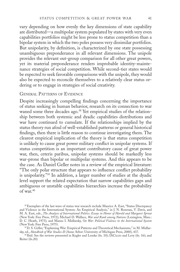vary depending on how evenly the key dimensions of state capability are distributed—a multipolar system populated by states with very even capabilities portfolios might be less prone to status competition than a bipolar system in which the two poles possess very dissimilar portfolios. But unipolarity, by definition, is characterized by one state possessing unambiguous preponderance in all relevant dimensions. The unipole provides the relevant out-group comparison for all other great powers, yet its material preponderance renders improbable identity-maintenance strategies of social competition. While second-tier states would be expected to seek favorable comparisons with the unipole, they would also be expected to reconcile themselves to a relatively clear status ordering or to engage in strategies of social creativity.

# General Patterns of Evidence

Despite increasingly compelling findings concerning the importance of status seeking in human behavior, research on its connection to war waned some three decades ago.<sup>38</sup> Yet empirical studies of the relationship between both systemic and dyadic capabilities distributions and war have continued to cumulate. If the relationships implied by the status theory run afoul of well-established patterns or general historical findings, then there is little reason to continue investigating them. The clearest empirical implication of the theory is that status competition is unlikely to cause great power military conflict in unipolar systems. If status competition is an important contributory cause of great power war, then, ceteris paribus, unipolar systems should be markedly less war-prone than bipolar or multipolar systems. And this appears to be the case. As Daniel Geller notes in a review of the empirical literature: "The only polar structure that appears to influence conflict probability is unipolarity."39 In addition, a larger number of studies at the dyadic level support the related expectation that narrow capabilities gaps and ambiguous or unstable capabilities hierarchies increase the probability of war.40

<sup>38</sup> Exemplars of the last wave of status-war research include Maurice A. East, "Status Discrepancy and Violence in the International System: An Empirical Analysis," in J. N. Rosenau, V. Davis, and M. A. East, eds., *The Analysis of International Politics: Essays in Honor of Harold and Margaret Sprout* (New York: Free Press, 1972); Michael D. Wallace, *War and Rank among Nations* (Lexington, Mass.: D. C. Heath, 1973); and Manus I. Midlarsky, *On War: Political Violence in the International System* (New York: Free Press, 1975).

<sup>&</sup>lt;sup>39</sup> D. S. Geller, "Explaining War: Empirical Patterns and Theoretical Mechanisms," in M. Midlarsky, ed., *Handbook of War Studies II* (Anne Arbor: University of Michigan Press, 2000), 437.

<sup>40</sup> Ibid. See the reviews presented in Kugler and Lemke (fn. 10); DiCiccio and Levy (fn. 16); and Reiter (fn.20).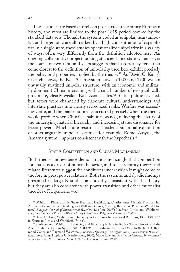These studies are based entirely on post-sixteenth-century European history, and most are limited to the post-1815 period covered by the standard data sets. Though the systems coded as unipolar, near-unipolar, and hegemonic are all marked by a high concentration of capabilities in a single state, these studies operationalize unipolarity in a variety of ways, often very differently from the definition adopted here. An ongoing collaborative project looking at ancient interstate systems over the course of two thousand years suggests that historical systems that come closest to the definition of unipolarity used here exhibit precisely the behavioral properties implied by the theory.<sup>41</sup> As David C. Kang's research shows, the East Asian system between 1300 and 1900 was an unusually stratified unipolar structure, with an economic and militarily dominant China interacting with a small number of geographically proximate, clearly weaker East Asian states.42 Status politics existed, but actors were channeled by elaborate cultural understandings and interstate practices into clearly recognized ranks. Warfare was exceedingly rare, and the major outbreaks occurred precisely when the theory would predict: when China's capabilities waned, reducing the clarity of the underlying material hierarchy and increasing status dissonance for lesser powers. Much more research is needed, but initial exploration of other arguably unipolar systems—for example, Rome, Assyria, the Amarna system—appears consistent with the hypothesis.<sup>43</sup>

# STATUS COMPETITION AND CAUSAL MECHANISMS

Both theory and evidence demonstrate convincingly that competition for status is a driver of human behavior, and social identity theory and related literatures suggest the conditions under which it might come to the fore in great power relations. Both the systemic and dyadic findings presented in large-N studies are broadly consistent with the theory, but they are also consistent with power transition and other rationalist theories of hegemonic war.

<sup>41</sup> Wohlforth, Richard Little, Stuart Kaufman, David Kang, Charles Jones, Victoria Tin-Bor Hui, Arthur Eckstein, Daniel Deudney, and William Brenner, "Testing Balance of Power in World History," *European Journal of International Relations* 13 ( June 2007); Kaufman, Little, and Wohlforth, eds., *The Balance of Power in World History* (New York: Palgrave-Macmillan, 2007).

<sup>42</sup> David C. Kang, "Stability and Hierarchy in East Asian International Relations, 1300–1900 ce," in Kaufman, Little, and Wohlforth (fn. 41).

<sup>43</sup> Kaufman and Wohlforth, "Balancing and Balancing Failure in Biblical Times: Assyria and the Ancient Middle Eastern System, 900–600 bce," in Kaufman, Little, and Wohlforth (fn. 41); Raymond Cohen and Raymond Westbrook, *Amarna Diplomacy: The Beginnings of International Relations* (Baltimore: Johns Hopkins University Press, 2000); Mario Liverani, *Prestige and Interest: International Relations in the Near East, ca. 1600–1100 b.c.* (Padovo: Sargon,1990).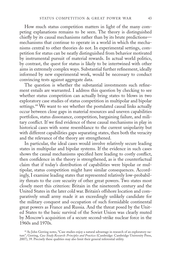How much status competition matters in light of the many competing explanations remains to be seen. The theory is distinguished chiefly by its causal mechanisms rather than by its brute predictions mechanisms that continue to operate in a world in which the mechanisms central to other theories do not. In experimental settings, competition for status can be neatly distinguished from behavior motivated by instrumental pursuit of material rewards. In actual world politics, by contrast, the quest for status is likely to be intertwined with other aims in extremely complex ways. Substantial further refinement, ideally informed by new experimental work, would be necessary to conduct convincing tests against aggregate data.

The question is whether the substantial investments such refinement entails are warranted. I address this question by checking to see whether status competition can actually bring states to blows in two exploratory case studies of status competition in multipolar and bipolar settings.<sup>44</sup> We want to see whether the postulated causal links actually occur between close gaps in material resources and uneven capabilities portfolios, status dissonance, competition, bargaining failure, and military conflict. If we find evidence of these causal mechanisms in play in historical cases with some resemblance to the current unipolarity but with different capabilities gaps separating states, then both the veracity and the relevance of the theory are strengthened.

In particular, the ideal cases would involve relatively secure leading states in multipolar and bipolar systems. If the evidence in such cases shows the causal mechanisms specified here leading to costly conflict, then confidence in the theory is strengthened, as is the counterfactual claim that if today's distribution of capabilities were bipolar or multipolar, status competition might have similar consequences. Accordingly, I examine leading states that represented relatively low-probability threats to the core security of other great powers. Two states most closely meet this criterion: Britain in the nineteenth century and the United States in the later cold war. Britain's offshore location and comparatively small army made it an exceedingly unlikely candidate for the military conquest and occupation of such formidable continental great powers as France and Russia. And the threat posed by the United States to the basic survival of the Soviet Union was clearly muted by Moscow's acquisition of a secure second-strike nuclear force in the 1960s and 1970s.

<sup>44</sup> As John Gerring notes, "Case studies enjoy a natural advantage in research of an exploratory nature"; Gerring, *Case Study Research: Principles and Practices* (Cambridge: Cambridge University Press, 2007), 39. Precisely these qualities may also limit their general inferential utility.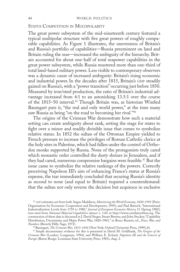### STATUS COMPETITION IN MULTIPOLARITY

The great power subsystem of the mid-nineteenth century featured a typical multipolar structure with five great powers of roughly comparable capabilities. As Figure 1 illustrates, the unevenness of Britain's and Russia's portfolio of capabilities—Russia preeminent on land and Britain ruling the seas—increased the ambiguity of the hierarchy. Britain accounted for about one-half of total seapower capabilities in the great power subsystem, while Russia mustered more than one-third of total land-based military power. Less visible to contemporary observers was a dynamic cause of increased ambiguity: Britain's rising economic and industrial power. In the decades after 1815, Britain's GDP steadily gained on Russia's, with a "power transition" occurring just before 1850. Measured by iron/steel production, the ratio of Britain's industrial advantage increased from 4:1 to an astonishing 13.5:1 over the course of the 1815–50 interval.45 Though Britain was, as historian Winfied Baumgart puts it, "the real and only world power," at the time many saw Russia as being "on the road to becoming her rival."46

The origins of the Crimean War demonstrate how such a material setting can create ambiguity about rank, setting the stage for states to fight over a minor and readily divisible issue that comes to symbolize relative status. In 1852 the sultan of the Ottoman Empire yielded to French pressure to increase the privileges of Roman Catholic clerics at the holy sites in Palestine, which had fallen under the control of Orthodox monks supported by Russia. None of the protagonists truly cared which monastic order controlled the dusty shrines in Jerusalem, and if they had cared, numerous compromise bargains were feasible.47 But the issue came to symbolize the relative rankings of the powers. Correctly perceiving Napoleon III's aim of enhancing France's status at Russia's expense, the tsar immediately concluded that securing Russia's identity as second to none (and equal to Britain) required a counterdemand: that the sultan not only reverse the decision but acquiesce in exclusive

<sup>45</sup> GDP estimates are from both Angus Maddison, *Monitoring the World Economy*, 1820–1991 (Paris: Organization for Economic Cooperation and Development, 1995); and Paul Bairoch, "International Industrialization Levels from 1759 to 1980," *Journal of European Economic History* 11 (Spring 1982); iron-steel from *National Material Capabilities dataset v. 3.02,* at http://www.correlatesofwar.org. The construction of these data is discussed in J. David Singer, Stuart Bremer, and John Stuckey, "Capability Distribution, Uncertainty, and Major Power War, 1820–1965," in Bruce Russett, ed., *Peace, War, and Numbers* (Beverly Hills: Sage, 1972).

46 Baumgart, *The Crimean War, 1853–1856* (New York: Oxford University Press, 1999),16.

47 Ample documentary evidence for this is presented in David M. Goldfrank, *The Origins of the Crimean War* (London: Longmans, 1994); and William E. Echard, *Napoleon III and the Concert of Europe* (Baton Rouge: Louisiana State University Press, 1983), chap. 2.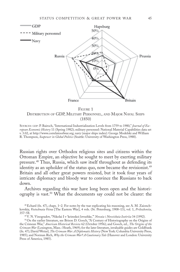

Distribution of GDP, Military Personnel, and Major Naval Ships (1850)

Russian rights over Orthodox religious sites and citizens within the Ottoman Empire, an objective he sought to meet by exerting military pressure.48 Thus, Russia, which saw itself throughout as defending its identity as an upholder of the status quo, now became the revisionist.<sup>49</sup> Britain and all other great powers resisted, but it took four years of intricate diplomacy and bloody war to convince the Russians to back down.

Archives regarding this war have long been open and the historiography is vast.50 What the documents say could not be clearer: the

SOURCES: GDP: P. Bairoch, "International Industrialization Levels from 1759 to 1980," *Journal of European Economic History* 11 (Spring 1982); military personnel: National Material Capabilities data set v. 3.02, at http://www.correlatesofwar.org; navy (major ships index): George Modelski and William R. Thompson, *Seapower in Global Politics* (Seattle: University of Washington Press, 1988).

<sup>48</sup> Echard (fn. 47), chaps. 1–2. For notes by the tsar explicating his reasoning, see A. M. Zaionchkovskiy, *Vostochnaia Voina* [The Eastern War], 4 vols. (St. Petersburg, 1908–13), vol. 1, *Prilozheniia*, 357–58.

<sup>49</sup> V. N. Vinogradov, "Nikolai I v 'krimskoi lovushke,'" *Novaia i Noveishaia Isotiriia* 34 (1992).

<sup>50</sup> On the earlier literature, see Brison D. Gooch, "A Century of Historiography on the Origins of the Crimean War," *American Historical Review* 62 (October 1956); and Gooch, ed., *The Origins of the Crimean War* (Lexington, Mass.: Heath, 1969); for the later literature, invaluable guides are Goldfrank (fn. 47); David Wetzel, *The Crimean War: A Diplomatic History* (New York: Columbia University Press, 1985); and Norman Rich, *Why the Crimean War? A Cautionary Tale* (Hanover and London: University Press of America, 1985).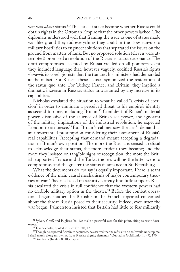war was *about* status.<sup>51</sup> The issue at stake became whether Russia could obtain rights in the Ottoman Empire that the other powers lacked. The diplomats understood well that framing the issue as one of status made war likely, and they did everything they could in the slow run-up to military hostilities to engineer solutions that separated the issues on the ground from matters of rank. But no proposed solution (eleven were attempted) promised a resolution of the Russians' status dissonance. The draft compromises accepted by Russia yielded on all points—except they included language that, however vaguely, codified Russia's rights vis-à-vis its coreligionists that the tsar and his ministers had demanded at the outset. For Russia, these clauses symbolized the restoration of the status quo ante. For Turkey, France, and Britain, they implied a dramatic increase in Russia's status unwarranted by any increase in its capabilities.

Nicholas escalated the situation to what he called "a crisis of coercion" in order to eliminate a perceived threat to his empire's identity as second to none, including Britain.<sup>52</sup> Confident of Russia's material power, dismissive of the salience of British sea power, and ignorant of the military implications of the industrial revolution, he expected London to acquiesce.<sup>53</sup> But Britain's cabinet saw the tsar's demand as an unwarranted presumption considering their assessment of Russia's real capabilities. Accepting that demand meant accepting a degradation in Britain's own position. The more the Russians sensed a refusal to acknowledge their status, the more strident they became; and the more they insisted on tangible signs of recognition, the more the British supported France and the Turks, the less willing the latter were to compromise, and the greater the status dissonance in St. Petersburg.

What the documents do *not* say is equally important. There is scant evidence of the main causal mechanisms of major contemporary theories of war. Theories based on security scarcity find little support. Russia escalated the crisis in full confidence that the Western powers had no credible military option in the theater.<sup>54</sup> Before the combat operations began, neither the British nor the French appeared concerned about the threat Russia posed to their security. Indeed, even after the war began, Palmerston insisted that Britain had little to fear militarily

<sup>51</sup> Sylvan, Graff, and Pugliese (fn. 12) make a powerful case for this point, citing relevant documents.

<sup>52</sup> Tsar Nicholas, quoted in Rich (fn. 50), 47.

<sup>&</sup>lt;sup>53</sup> Though he expected Britain to acquiesce, he asserted that its refusal to do so "would not stop me. I shall march along my own path, as Russia's dignity demands." Quoted in Goldfrank (fn. 47), 170.

 $54$  Goldfrank (fn. 47), 8–10, chap. 2.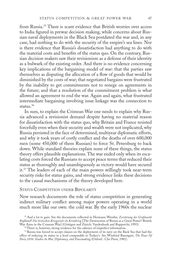from Russia.55 There is scant evidence that British worries over access to India figured in prewar decision making, while concerns about Russian naval deployments in the Black Sea postdated the war and, in any case, had nothing to do with the security of the empire's sea lines. Nor is there evidence that Russia's dissatisfaction had anything to do with the material costs and benefits of the status quo. On the contrary, Russian decision makers saw their revisionism as a defense of their identity as a bulwark of the existing order. And there is no evidence concerning key implications of the bargaining model of war: that the parties saw themselves as disputing the allocation of a flow of goods that would be diminished by the costs of war; that negotiated bargains were frustrated by the inability to get commitments not to renege on agreements in the future; and that a resolution of the commitment problem is what allowed an agreement to end the war. Again and again, what frustrated intermediate bargaining involving issue linkage was the connection to status.<sup>56</sup>

In sum, to explain the Crimean War one needs to explain why Russia advanced a revisionist demand despite having no material reason for dissatisfaction with the status quo, why Britain and France resisted forcefully even when their security and wealth were not implicated, why Russia persisted in the face of determined, multiyear diplomatic efforts, and why it took years of costly conflict and the deaths of over 600,000 men (some 450,000 of them Russian) to force St. Petersburg to back down. While standard theories explain none of these things, the status theory offers plausible explanations. The war ended only when its escalating costs forced the Russians to accept peace terms that reduced their status as thoroughly and unambiguously as victory would have secured it.57 The leaders of each of the main powers willingly took near-term security risks for status gains, and strong evidence links these decisions to the causal mechanisms of the theory developed here.

#### STATUS COMPETITION UNDER BIPOLARITY

New research documents the role of status competition in generating indirect military conflict among major powers operating in a world much more like our own: the cold war. By the early 1960s the nuclear

<sup>55</sup> And a lot to gain. See the documents collected in Hermann Wentler, *Zerstörung der Großmacht Rußland? Die britischen Kriegsziele im Krimkrieg* [The Destruction of Russia as a Great Power? British War Aims in the Crimean War] (Göttigen and Zürich: Vandenhoek and Rupprecht, 1993).

<sup>&</sup>lt;sup>56</sup> There is, however, strong evidence for the salience of imperfect information.

<sup>57</sup> Russia was forced to accept clauses on the deployment of its navy on the Back Sea that had the effect of reducing its status to a level comparable to Turkey's. See Winfried Baumgart, *The Peace Of Paris,1856: Studies In War, Diplomacy, and Peacemaking* (Oxford : Clio Press, 1981).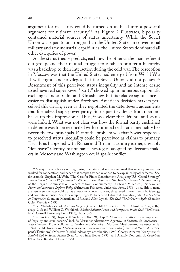argument for insecurity could be turned on its head into a powerful argument for ultimate security.<sup>58</sup> As Figure 2 illustrates, bipolarity contained material sources of status uncertainty. While the Soviet Union was equal to or stronger than the United States in conventional military and raw industrial capabilities, the United States dominated all other categories of power.

As the status theory predicts, each saw the other as the main referent out-group, and their mutual struggle to establish or alter a hierarchy was a backdrop to their interaction during the cold war. The perception in Moscow was that the United States had emerged from World War II with rights and privileges that the Soviet Union did not possess.<sup>59</sup> Resentment of this perceived status inequality and an intense desire to achieve real superpower "parity" showed up in numerous diplomatic exchanges under Stalin and Khrushchev, but its relative significance is easier to distinguish under Brezhnev. American decision makers perceived this clearly, even as they negotiated the détente-era agreements that formalized superpower parity. Subsequent evidence from memoirs backs up this impression.<sup>60</sup> Thus, it was clear that détente and status were linked. What was not clear was how the formal parity enshrined in détente was to be reconciled with continued real status inequality between the two principals. Part of the problem was that Soviet responses to perceived status inequality could be perceived as claims to primacy. Exactly as happened with Russia and Britain a century earlier, arguably "defensive" identity-maintenance strategies adopted by decision makers in Moscow and Washington could spark conflict.

<sup>58</sup> A majority of scholars writing during the later cold war era assumed that security imperatives worked for cooperation; and hence that competitive behavior had to be explained by other factors. See, for example, Stephen M. Walt, "The Case for Finite Containment: Analyzing U.S. Grand Strategy," *International Security* 12 (Summer 1989); and Barry Posen and Stephen Van Evera, "Defense Policy of the Reagan Administration: Departure from Containment," in Steven Miller, ed., *Conventional Forces and American Defense Policy* (Princeton: Princeton University Press, 1986). In addition, many analysts view the later cold war as a weak two-power concert, threatened intermittently by ideology and domestic impulses. See, for example, Roger E. Kanet and Edward A. Kolodziej, eds., *The Cold War as Cooperation* (London: Macmillan, 1991); and Allen Lynch, *The Cold War Is Over—Again* (Boulder, Colo.: Westview, 1992).

59 See Vladislav Zubok, *A Failed Empire* (Chapel Hill: University of North Carolina Press, 2007), chaps. 2–5; and William C. Wohlforth, *Elusive Balance: Power and Perceptions in the Cold War* (Ithaca, N.Y.: Cornell University Press 1993)*,* chaps. 3–5.

60 Zubok (fn. 59), chaps. 7–8; Wohlforth (fn. 59), chap. 7. Memoirs that attest to the importance of "equality and equal security" include Alexander Alexandrov-Agentov, *Ot Kollontai do Gorbacheva— Vosponimaniia* [From Kollontai to Gorbachev: Memoirs] (Moscow: Mezhdunarodnye otnosheniia, 1994); G. M. Kornienko, *Kholodnaia voina— svideltel'svto ee uchastnika* [The Cold War—A Participant's Testimony] (Moscow: Mezhdundarodnye otnosheniia, 1994); Georgy Arbatov, *The System: An Insider's Life in Soviet Politics* (New York: Times Books, 1993); and Anatoly Dobrynin, *In Confidence*  (New York: Random House, 1995).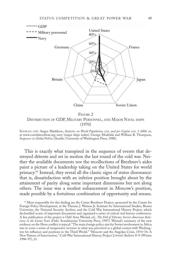

Distribution of GDP, Military Personnel, and Major Naval ships (1970)

This is exactly what transpired in the sequence of events that destroyed détente and set in motion the last round of the cold war. Neither the available documents nor the recollections of Brezhnev's aides paint a picture of a leadership taking on the United States for world primacy.<sup>61</sup> Instead, they reveal all the classic signs of status dissonance: that is, dissatisfaction with an inferior position brought about by the attainment of parity along some important dimensions but not along others. The issue was a modest enhancement in Moscow's position, made possible by a fortuitous combination of opportunity and means.

SOURCES: GDP: Angus Maddison, *Statistics on World Population, GDP, and per Capita GDP, 1-2006 AD,* at www.correlatesofwar.org; navy (major ships index): George Modelski and William R. Thompson, *Seapower in Global Politics* (Seattle: University of Washington Press, 1988).

<sup>61</sup> Most responsible for this finding are the Carter-Brezhnev Project, sponsored by the Center for Foreign Policy Development, at the Thomas J. Watson Jr. Institute for International Studies, Brown University; the National Security Archive; and the Cold War International History Project, which declassified scores of important documents and organized a series of critical oral history conferences. A key publication of the project is Odd Arne Westad, ed., *The Fall of Détente: Soviet-American Relations in the Carter Years* (Oslo: Scandinavian University Press, 1997). Westad's summary of the new evidence on the Horn conflict is typical: "The main foreign policy aim for Soviet involvement in Africa was to score a series of inexpensive victories in what was perceived as a global contest with Washington for influence and positions in the Third World." "Moscow and the Angolan Crisis, 1974-76: A New Pattern of Intervention," Cold War International History Project [cwihp] *Bulletin* 8–9 (Winter 1996–97), 21.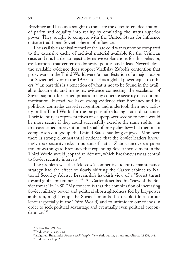Brezhnev and his aides sought to translate the détente-era declarations of parity and equality into reality by emulating the status-superior power. They sought to compete with the United States for influence outside traditional Soviet spheres of influence.

The available archival record of the late cold war cannot be compared to the extensive cache of archival material available for the Crimean case, and it is harder to reject alternative explanations for this behavior, explanations that center on domestic politics and ideas. Nevertheless, the available evidence does support Vladislav Zubok's contention that proxy wars in the Third World were "a manifestation of a major reason for Soviet behavior in the 1970s: to act as a global power equal to others."62 In part this is a reflection of what is not to be found in the available documents and memoirs: evidence connecting the escalation of Soviet support for armed proxies to any concrete security or economic motivation. Instead, we have strong evidence that Brezhnev and his politburo comrades craved recognition and undertook their new activity in the Third World for the purpose of reducing status dissonance. Their identity as representatives of a superpower second to none would be more secure if they could successfully exercise the same rights—in this case armed intervention on behalf of proxy clients—that their main comparison out-group, the United Sates, had long enjoyed. Moreover, there is strong circumstantial evidence that the Soviet leaders knowingly took security risks in pursuit of status. Zubok uncovers a paper trail of warnings to Brezhnev that expanding Soviet involvement in the Third World would jeopardize détente, which Brezhnev saw as central to Soviet security interests.<sup>63</sup>

The problem was that Moscow's competitive identity-maintenance strategy had the effect of slowly shifting the Carter cabinet to National Security Adviser Brzezinski's hawkish view of a "Soviet thrust toward global preeminence."64 As Carter described his "view of the Soviet threat" in 1980: "My concern is that the combination of increasing Soviet military power and political shortsightedness fed by big-power ambition, might tempt the Soviet Union both to exploit local turbulence (especially in the Third World) and to intimidate our friends in order to seek political advantage and eventually even political preponderance."65

<sup>62</sup> Zubok (fn. 59), 249.

<sup>63</sup> Ibid., chap. 7, esp. 252.

<sup>64</sup> Zbigniew Brzezinski, *Power and Principle* (New York: Farrar, Straus and Giroux, 1983), 148.

<sup>&</sup>lt;sup>65</sup> Ibid., annex 1, p. 2.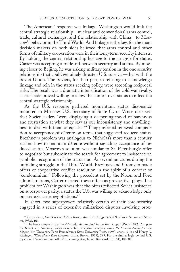The Americans' response was linkage. Washington would link the central strategic relationship—nuclear and conventional arms control, trade, cultural exchanges, and the relationship with China—to Moscow's behavior in the Third World. And linkage is the key, for the main decision makers on both sides believed that arms control and other forms of military cooperation were in their long-term security interests. By holding the central relationship hostage to the struggle for status, Carter was accepting a trade-off between security and status. By moving closer to Beijing, he was risking military tension in the one security relationship that could genuinely threaten U.S. survival—that with the Soviet Union. The Soviets, for their part, in refusing to acknowledge linkage and rein in the status-seeking policy, were accepting reciprocal risks. The result was a dramatic intensification of the cold war rivalry, as each side proved willing to allow the contest over status to infect the central strategic relationship.

As the U.S. response gathered momentum, status dissonance mounted in Moscow. U.S. Secretary of State Cyrus Vance observed that Soviet leaders "were displaying a deepening mood of harshness and frustration at what they saw as our inconsistency and unwillingness to deal with them as equals." 66 They preferred renewed competition to acceptance of détente on terms that suggested reduced status. Brezhnev's problem was analogous to Nicholas's more than a century earlier: how to maintain détente without signaling acceptance of reduced status. Moscow's solution was similar to St. Petersburg's: offer to negotiate but subordinate the search for agreement to insistence on symbolic recognition of the status quo. At several junctures during the unfolding struggle in the Third World, Brezhnev and Gromyko made offers of cooperative conflict resolution in the spirit of a concert or "condominium." Following the precedent set by the Nixon and Ford administrations, Carter rejected these offers as provocative ploys. The problem for Washington was that the offers reflected Soviet insistence on superpower parity, a status the U.S. was willing to acknowledge only on strategic arms negotiations.67

In short, two superpowers relatively certain of their core security engaged in a series of expensive militarized disputes involving prox-

<sup>66</sup> Cyrus Vance, *Hard Choices: Critical Years in America's Foreign Policy* (New York: Simon and Shuster, 1983), 101.

<sup>67</sup> The best example is Brezhnev's "condominium ploy" in the Yom Kippur War of 1972. Compare the Soviet and American views as reflected in Viktor Israelyan, *Inside the Kremlin during the Yom Kippur War* (University Park: Pennsylvania State University Press, 1995), chaps. 5–7; and Henry A. Kissinger, *White House Years* (Boston: Little, Brown, 1979), 299. For the similar logic behind U.S. rejection of "condominium offers" concerning Angola, see Brzezinski (fn. 64), 180–81.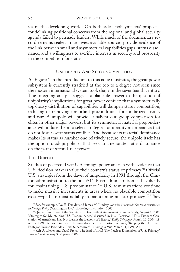#### 52 world politics

ies in the developing world. On both sides, policymakers' proposals for delinking positional concerns from the regional and global security agenda failed to persuade leaders. While much of the documentary record remains sealed in archives, available sources provide evidence of the link between small and asymmetrical capabilities gaps, status dissonance, and a willingness to sacrifice interests in security and prosperity in the competition for status.

# UNIPOLARITY AND STATUS COMPETITION

As Figure 1 in the introduction to this issue illustrates, the great power subsystem is currently stratified at the top to a degree not seen since the modern international system took shape in the seventeenth century. The foregoing analysis suggests a plausible answer to the question of unipolarity's implications for great power conflict: that a symmetrically top-heavy distribution of capabilities will dampen status competition, reducing or removing important preconditions for militarized rivalry and war. A unipole will provide a salient out-group comparison for elites in other major powers, but its symmetrical material preponderance will induce them to select strategies for identity maintenance that do not foster overt status conflict. And because its material dominance makes its status as number one relatively secure, the unipole itself has the option to adopt policies that seek to ameliorate status dissonance on the part of second-tier powers.

## The Unipole

Studies of post–cold war U.S. foreign policy are rich with evidence that U.S. decision makers value their country's status of primacy.<sup>68</sup> Official U.S. strategies from the dawn of unipolarity in 1991 through the Clinton administration to the pre-9/11 Bush administration call explicitly for "maintaining U.S. predominance."69 U.S. administrations continue to make massive investments in areas where no plausible competition exists—perhaps most notably in maintaining nuclear primacy.<sup>70</sup> They

<sup>68</sup> See, for example, Ivo H. Daalder and James M. Lindsay, *America Unbound: The Bush Revolution in Foreign Policy* (Washington D.C.: Brookings Institution, 2003).

<sup>69</sup> Quote from Office of the Secretary of Defense/Net Assessment Summer Study, August 1, 2001, "Strategies for Maintaining U.S. Predominance," discussed in Niall Ferguson, "This Vietnam Generation of Americans Has Not Learnt the Lessons of History," *Daily Telegraph,* March 10, 2004, 19; on the 1991 Defense Guidance Planning document, see Barton Gellman, "Keeping the U.S. First: Pentagon Would Preclude a Rival Superpower," *Washington Post,* March 11, 1991, A1*.*

 $^{70}$  Keir A. Lieber and Daryl Press, "The End of MAD? The Nuclear Dimension of U.S. Primacy," *International Security* 30 (Spring 2006).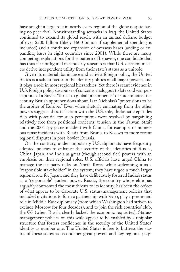have sought a large role in nearly every region of the globe despite facing no peer rival. Notwithstanding setbacks in Iraq, the United States continued to expand its global reach, with an annual defense budget of over \$500 billion (likely \$600 billion if supplemental spending is included) and a continued expansion of overseas bases (adding or expanding bases in eight countries since 2001). While there are many competing explanations for this pattern of behavior, one candidate that has thus far not figured in scholarly research is that U.S. decision makers derive independent utility from their state's status as a unipole.

Given its material dominance and activist foreign policy, the United States is a salient factor in the identity politics of all major powers, and it plays a role in most regional hierarchies. Yet there is scant evidence in U.S. foreign policy discourse of concerns analogous to late cold war perceptions of a Soviet "thrust to global preeminence" or mid-nineteenthcentury British apprehensions about Tsar Nicholas's "pretensions to be the arbiter of Europe." Even when rhetoric emanating from the other powers suggests dissatisfaction with the U.S. role, diplomatic episodes rich with potential for such perceptions were resolved by bargaining relatively free from positional concerns: tension in the Taiwan Strait and the 2001 spy plane incident with China, for example, or numerous tense incidents with Russia from Bosnia to Kosovo to more recent regional disputes in post-Soviet Eurasia.

On the contrary, under unipolarity U.S. diplomats have frequently adopted policies to enhance the security of the identities of Russia, China, Japan, and India as great (though second-tier) powers, with an emphasis on their regional roles. U.S. officials have urged China to manage the six-party talks on North Korea while welcoming it as a "responsible stakeholder" in the system; they have urged a much larger regional role for Japan; and they have deliberately fostered India's status as a "responsible" nuclear power. Russia, the country whose elite has arguably confronted the most threats to its identity, has been the object of what appear to be elaborate U.S. status-management policies that included invitations to form a partnership with NATO, play a prominent role in Middle East diplomacy (from which Washington had striven to exclude Moscow for four decades), and to join the rich countries' club, the G7 (when Russia clearly lacked the economic requisites). Statusmanagement policies on this scale appear to be enabled by a unipolar structure that fosters confidence in the security of the United States' identity as number one. The United States is free to buttress the status of these states as second-tier great powers and key regional play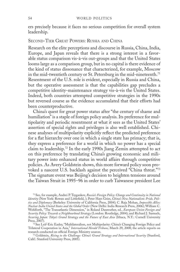ers precisely because it faces no serious competition for overall system leadership.

# Second-Tier Great Powers: Russia and China

Research on the elite perceptions and discourse in Russia, China, India, Europe, and Japan reveals that there is a strong interest in a favorable status comparison vis-à-vis out-groups and that the United States looms large as a comparison group, but in no capital is there evidence of the kind of status dissonance that characterized, for example, Moscow in the mid-twentieth century or St. Petersburg in the mid-nineteenth. $71$ Resentment of the U.S. role is evident, especially in Russia and China, but the operative assessment is that the capabilities gap precludes a competitive identity-maintenance strategy vis-à-vis the United States. Indeed, both countries attempted competitive strategies in the 1990s but reversed course as the evidence accumulated that their efforts had been counterproductive.

China's quest for great power status after "the century of shame and humiliation" is a staple of foreign policy analysis. Its preference for multipolarity and periodic resentment at what it sees as the United States' assertion of special rights and privileges is also well established. Chinese analyses of multipolarity explicitly reflect the predicted preference for a flat hierarchy over one in which a single state has primacy; that is, they express a preference for a world in which no power has a special claim to leadership.72 In the early 1990s Jiang Zemin attempted to act on this preference by translating China's growing economic and military power into enhanced status in world affairs through competitive policies. As Avery Goldstein shows, this more forward policy soon provoked a nascent U.S. backlash against the perceived "China threat."73 The signature event was Beijing's decision to heighten tensions around the Taiwan Strait in 1995–96 in order to curb Taiwanese president Lee

71 See, for example, Andrei P. Tsygankov, *Russia's Foreign Policy: Change and Continuity in National Identity* (New York: Rowan and Littlefield, ); Peter Hays Gries, *China's New Nationalism: Pride, Politics and Diplomacy* (Berkeley: University of California Press, 2004); C. Raja Mohan, *Impossible Allies: Nuclear India United States and the Global Order* (New Delhi: India Research Press, 2006); William C. Wohlforth, "The Transatlantic Dimension," in Roland Danreuther, ed., *European Union Foreign and Security Policy: Towards a Neighbourhood Strategy* (London: Routledge, 2004); and Richard J. Samuels, *Securing Japan: Tokyo's Grand Strategy and the Future of East Asia* (Ithaca, N.Y.: Cornell University Press, 2007).

72 See Leif-Eric Easley, "Multilateralism, not Multipolarity: China's Changing Foreign Policy and Trilateral Cooperation in Asia," *International Herald Tribune,* March 29, 2008; the article reports on research conducted on official Foreign Ministry sources.

73 Goldstein, *Rising to the Challenge: China's Grand Strategy and International Security* (Stanford, Calif.: Stanford University Press, 2005)*.*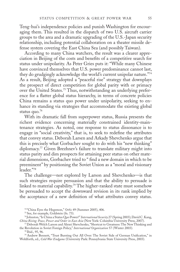Teng-hui's independence policies and punish Washington for encouraging them. This resulted in the dispatch of two U.S. aircraft carrier groups to the area and a dramatic upgrading of the U.S.-Japan security relationship, including potential collaboration on a theater missile defense system covering the East China Sea (and possibly Taiwan).

According to many China watchers, the result was a clearer appreciation in Beijing of the costs and benefits of a competitive search for status under unipolarity. As Peter Gries puts it: "While many Chinese have convinced themselves that U.S. power predominance cannot last, they do grudgingly acknowledge the world's current unipolar nature."74 As a result, Beijing adopted a "peaceful rise" strategy that downplays the prospect of direct competition for global parity with or primacy over the United States.75 Thus, notwithstanding an underlying preference for a flatter global status hierarchy, in terms of concrete policies China remains a status quo power under unipolarity, seeking to enhance its standing via strategies that accommodate the existing global status quo.<sup>76</sup>

With its dramatic fall from superpower status, Russia presents the richest evidence concerning materially constrained identity-maintenance strategies. As noted, one response to status dissonance is to engage in "social creativity," that is, to seek to redefine the attributes that convey status. Deborah Larsen and Arkady Shevchenko argue that this is precisely what Gorbachev sought to do with his "new thinking" diplomacy.<sup>77</sup> Given Brezhnev's failure to translate military might into status parity and dim prospects for attaining peer status on other material dimensions, Gorbachev tried to " find a new domain in which to be preeminent" by positioning the Soviet Union as a "moral and visionary leader."78

The challenge—not explored by Larson and Shevchenko—is that such strategies require persuasion and that the ability to persuade is linked to material capability.79 The higher-ranked state must somehow be persuaded to accept the downward revision in its rank implied by the acceptance of a new definition of what attributes convey status.

79 Andrew Bennett, "Trust Bursting Out All Over: The Soviet Side of German Unification," in Wohlforth, ed., *Cold War Endgame* (University Park: Pennsylvania State University Press, 2003).

<sup>74 &</sup>quot;China Eyes the Hegemon," *Orbis* 49 (Summer 2005), 406.

<sup>75</sup> See, for example, Goldstein (fn. 73).

<sup>76</sup> Johnston, "Is China a Status Quo Power?" *International Security* 27 (Spring 2003); David C. Kang, *China Rising: Peace, Power and Order in East Asia* (New York: Columbia University Press, 2007).

<sup>77</sup> Deborah Welch Larson and Alexei Shevchenko, "Shortcut to Greatness: The New Thinking and the Revolution in Soviet Foreign Policy," *International Organization* 57 (Winter 2003).

<sup>78</sup> Ibid., 95, 96.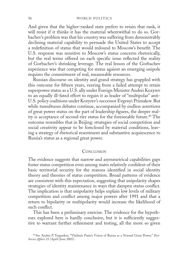#### 56 WORLD POLITICS

And given that the higher-ranked state prefers to retain that rank, it will resist if it thinks it has the material wherewithal to do so. Gorbachev's problem was that his country was suffering from demonstrably declining material capability to persuade the United States to accept a redefinition of status that would redound to Moscow's benefit. The U.S. response was sensitive to Moscow's status concerns rhetorically, but the real terms offered on each specific issue reflected the reality of Gorbachev's shrinking leverage. The real lesson of the Gorbachev experience was that competing for status against an emerging unipole requires the commitment of real, measurable resources.

Russian discourse on identity and grand strategy has grappled with this outcome for fifteen years, veering from a failed attempt to retain superpower status as a U.S. ally under Foreign Minister Andrei Kozyrev to an equally ill-fated effort to regain it as leader of "multipolar" anti-U.S. policy coalitions under Kozyrev's successor Evgenyi Primakov. But while tumultuous debates continue, accompanied by endless assertions of great power status on the part of leadership figures, the deeper reality is acceptance of second-tier status for the foreseeable future.<sup>80</sup> The outcome resembles that in Beijing: strategies of social competition and social creativity appear to be foreclosed by material conditions, leaving a strategy of rhetorical resentment and substantive acquiescence to Russia's status as a regional great power.

#### **CONCLUSION**

The evidence suggests that narrow and asymmetrical capabilities gaps foster status competition even among states relatively confident of their basic territorial security for the reasons identified in social identity theory and theories of status competition. Broad patterns of evidence are consistent with this expectation, suggesting that unipolarity shapes strategies of identity maintenance in ways that dampen status conflict. The implication is that unipolarity helps explain low levels of military competition and conflict among major powers after 1991 and that a return to bipolarity or multipolarity would increase the likelihood of such conflict.

This has been a preliminary exercise. The evidence for the hypotheses explored here is hardly conclusive, but it is sufficiently suggestive to warrant further refinement and testing, all the more so given

<sup>80</sup> See Andrei P. Tsygankov, "Vladimir Putin's Vision of Russia as a Normal Great Power," *Post-Soviet Affairs* 21 (April–June 2005).